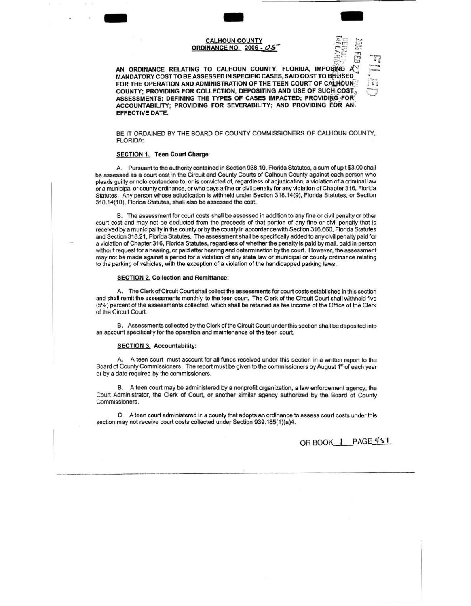# **CALHOUN COUNTY ORDINANCE NO. 2006 - 05**



AN ORDINANCE RELATING TO CALHOUN COUNTY, FLORIDA, IMPOSING A MANDATORY COST TO BE ASSESSED IN SPECIFIC CASES, SAID COST TO BE USED FOR THE OPERATION AND ADMINISTRATION OF THE TEEN COURT OF CALHOUN COUNTY: PROVIDING FOR COLLECTION, DEPOSITING AND USE OF SUCH COST, ASSESSMENTS; DEFINING THE TYPES OF CASES IMPACTED; PROVIDING FOR ACCOUNTABILITY; PROVIDING FOR SEVERABILITY; AND PROVIDING FOR AN **EFFECTIVE DATE.** 

BE IT ORDAINED BY THE BOARD OF COUNTY COMMISSIONERS OF CALHOUN COUNTY. **FLORIDA:** 

#### SECTION 1. Teen Court Charge:

A. Pursuant to the authority contained in Section 938.19, Florida Statutes, a sum of up t \$3.00 shall be assessed as a court cost in the Circuit and County Courts of Calhoun County against each person who pleads guilty or nolo contendere to, or is convicted of, regardless of adjudication, a violation of a criminal law or a municipal or county ordinance, or who pays a fine or civil penalty for any violation of Chapter 316, Florida Statutes. Any person whose adjudication is withheld under Section 318.14(9), Florida Statutes, or Section 318.14(10), Florida Statutes, shall also be assessed the cost.

B. The assessment for court costs shall be assessed in addition to any fine or civil penalty or other court cost and may not be deducted from the proceeds of that portion of any fine or civil penalty that is received by a municipality in the county or by the county in accordance with Section 316.660, Florida Statutes and Section 318.21, Florida Statutes. The assessment shall be specifically added to any civil penalty paid for a violation of Chapter 316, Florida Statutes, regardless of whether the penalty is paid by mail, paid in person without request for a hearing, or paid after hearing and determination by the court. However, the assessment may not be made against a period for a violation of any state law or municipal or county ordinance relating to the parking of vehicles, with the exception of a violation of the handicapped parking laws.

#### **SECTION 2. Collection and Remittance:**

A. The Clerk of Circuit Court shall collect the assessments for court costs established in this section and shall remit the assessments monthly to the teen court. The Clerk of the Circuit Court shall withhold five (5%) percent of the assessments collected, which shall be retained as fee income of the Office of the Clerk of the Circuit Court.

B. Assessments collected by the Clerk of the Circuit Court under this section shall be deposited into an account specifically for the operation and maintenance of the teen court.

#### **SECTION 3. Accountability:**

A. A teen court must account for all funds received under this section in a written report to the Board of County Commissioners. The report must be given to the commissioners by August 1<sup>st</sup> of each year or by a date required by the commissioners.

B. A teen court may be administered by a nonprofit organization, a law enforcement agency, the Court Administrator, the Clerk of Court, or another similar agency authorized by the Board of County Commissioners.

C. A teen court administered in a county that adopts an ordinance to assess court costs under this section may not receive court costs collected under Section 939.185(1)(a)4.

OR BOOK | PAGE 451